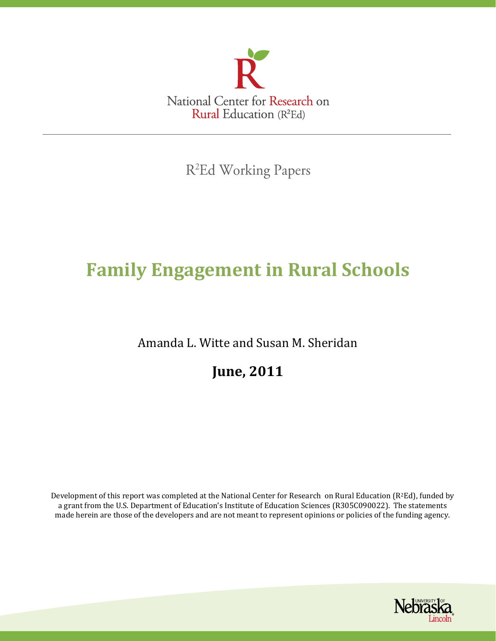

R<sup>2</sup>Ed Working Papers

# **Family Engagement in Rural Schools**

Amanda L. Witte and Susan M. Sheridan

**June, 2011**

Development of this report was completed at the National Center for Research on Rural Education ( $R^2Ed$ ), funded by a grant from the U.S. Department of Education's Institute of Education Sciences (R305C090022). The statements made herein are those of the developers and are not meant to represent opinions or policies of the funding agency.

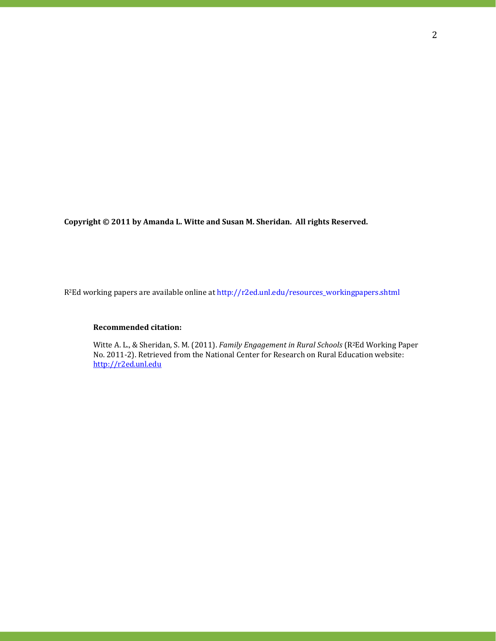**Copyright © 2011 by Amanda L. Witte and Susan M. Sheridan. All rights Reserved.**

R2Ed working papers are available online at http://r2ed.unl.edu/resources\_workingpapers.shtml

### **Recommended citation:**

Witte A. L., & Sheridan, S. M. (2011). *Family Engagement in Rural Schools* (R2Ed Working Paper No. 2011-2). Retrieved from the National Center for Research on Rural Education website: [http://r2ed.unl.edu](http://r2ed.unl.edu/)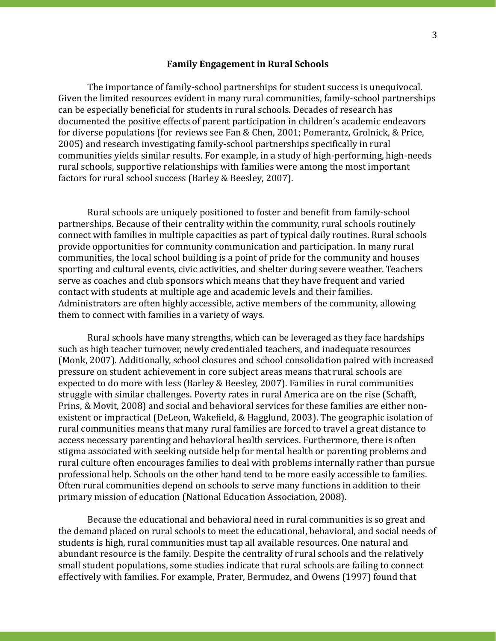## **Family Engagement in Rural Schools**

The importance of family-school partnerships for student success is unequivocal. Given the limited resources evident in many rural communities, family-school partnerships can be especially beneficial for students in rural schools. Decades of research has documented the positive effects of parent participation in children's academic endeavors for diverse populations (for reviews see Fan & Chen, 2001; Pomerantz, Grolnick, & Price, 2005) and research investigating family-school partnerships specifically in rural communities yields similar results. For example, in a study of high-performing, high-needs rural schools, supportive relationships with families were among the most important factors for rural school success (Barley & Beesley, 2007).

Rural schools are uniquely positioned to foster and benefit from family-school partnerships. Because of their centrality within the community, rural schools routinely connect with families in multiple capacities as part of typical daily routines. Rural schools provide opportunities for community communication and participation. In many rural communities, the local school building is a point of pride for the community and houses sporting and cultural events, civic activities, and shelter during severe weather. Teachers serve as coaches and club sponsors which means that they have frequent and varied contact with students at multiple age and academic levels and their families. Administrators are often highly accessible, active members of the community, allowing them to connect with families in a variety of ways.

Rural schools have many strengths, which can be leveraged as they face hardships such as high teacher turnover, newly credentialed teachers, and inadequate resources (Monk, 2007). Additionally, school closures and school consolidation paired with increased pressure on student achievement in core subject areas means that rural schools are expected to do more with less (Barley & Beesley, 2007). Families in rural communities struggle with similar challenges. Poverty rates in rural America are on the rise (Schafft, Prins, & Movit, 2008) and social and behavioral services for these families are either nonexistent or impractical (DeLeon, Wakefield, & Hagglund, 2003). The geographic isolation of rural communities means that many rural families are forced to travel a great distance to access necessary parenting and behavioral health services. Furthermore, there is often stigma associated with seeking outside help for mental health or parenting problems and rural culture often encourages families to deal with problems internally rather than pursue professional help. Schools on the other hand tend to be more easily accessible to families. Often rural communities depend on schools to serve many functions in addition to their primary mission of education (National Education Association, 2008).

Because the educational and behavioral need in rural communities is so great and the demand placed on rural schools to meet the educational, behavioral, and social needs of students is high, rural communities must tap all available resources. One natural and abundant resource is the family. Despite the centrality of rural schools and the relatively small student populations, some studies indicate that rural schools are failing to connect effectively with families. For example, Prater, Bermudez, and Owens (1997) found that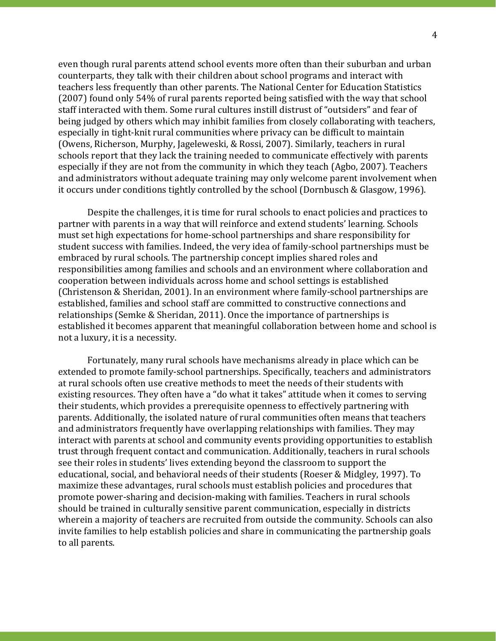even though rural parents attend school events more often than their suburban and urban counterparts, they talk with their children about school programs and interact with teachers less frequently than other parents. The National Center for Education Statistics (2007) found only 54% of rural parents reported being satisfied with the way that school staff interacted with them. Some rural cultures instill distrust of "outsiders" and fear of being judged by others which may inhibit families from closely collaborating with teachers, especially in tight-knit rural communities where privacy can be difficult to maintain (Owens, Richerson, Murphy, Jageleweski, & Rossi, 2007). Similarly, teachers in rural schools report that they lack the training needed to communicate effectively with parents especially if they are not from the community in which they teach (Agbo, 2007). Teachers and administrators without adequate training may only welcome parent involvement when it occurs under conditions tightly controlled by the school (Dornbusch & Glasgow, 1996).

Despite the challenges, it is time for rural schools to enact policies and practices to partner with parents in a way that will reinforce and extend students' learning. Schools must set high expectations for home-school partnerships and share responsibility for student success with families. Indeed, the very idea of family-school partnerships must be embraced by rural schools. The partnership concept implies shared roles and responsibilities among families and schools and an environment where collaboration and cooperation between individuals across home and school settings is established (Christenson & Sheridan, 2001). In an environment where family-school partnerships are established, families and school staff are committed to constructive connections and relationships (Semke & Sheridan, 2011). Once the importance of partnerships is established it becomes apparent that meaningful collaboration between home and school is not a luxury, it is a necessity.

Fortunately, many rural schools have mechanisms already in place which can be extended to promote family-school partnerships. Specifically, teachers and administrators at rural schools often use creative methods to meet the needs of their students with existing resources. They often have a "do what it takes" attitude when it comes to serving their students, which provides a prerequisite openness to effectively partnering with parents. Additionally, the isolated nature of rural communities often means that teachers and administrators frequently have overlapping relationships with families. They may interact with parents at school and community events providing opportunities to establish trust through frequent contact and communication. Additionally, teachers in rural schools see their roles in students' lives extending beyond the classroom to support the educational, social, and behavioral needs of their students (Roeser & Midgley, 1997). To maximize these advantages, rural schools must establish policies and procedures that promote power-sharing and decision-making with families. Teachers in rural schools should be trained in culturally sensitive parent communication, especially in districts wherein a majority of teachers are recruited from outside the community. Schools can also invite families to help establish policies and share in communicating the partnership goals to all parents.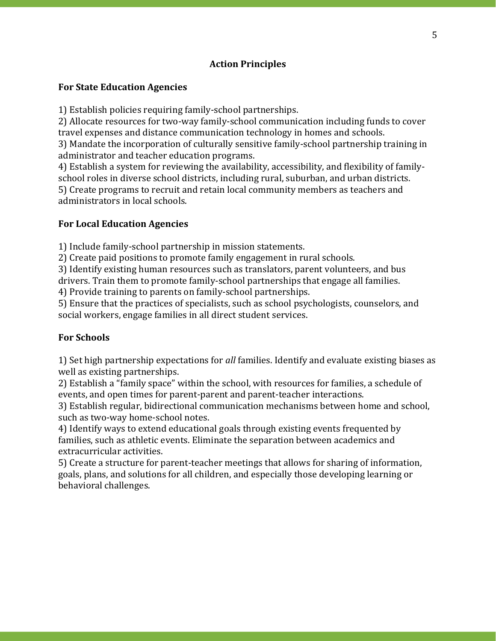# **Action Principles**

## **For State Education Agencies**

1) Establish policies requiring family-school partnerships.

2) Allocate resources for two-way family-school communication including funds to cover travel expenses and distance communication technology in homes and schools.

3) Mandate the incorporation of culturally sensitive family-school partnership training in administrator and teacher education programs.

4) Establish a system for reviewing the availability, accessibility, and flexibility of familyschool roles in diverse school districts, including rural, suburban, and urban districts. 5) Create programs to recruit and retain local community members as teachers and administrators in local schools.

# **For Local Education Agencies**

1) Include family-school partnership in mission statements.

2) Create paid positions to promote family engagement in rural schools.

3) Identify existing human resources such as translators, parent volunteers, and bus

drivers. Train them to promote family-school partnerships that engage all families.

4) Provide training to parents on family-school partnerships.

5) Ensure that the practices of specialists, such as school psychologists, counselors, and social workers, engage families in all direct student services.

# **For Schools**

1) Set high partnership expectations for *all* families. Identify and evaluate existing biases as well as existing partnerships.

2) Establish a "family space" within the school, with resources for families, a schedule of events, and open times for parent-parent and parent-teacher interactions.

3) Establish regular, bidirectional communication mechanisms between home and school, such as two-way home-school notes.

4) Identify ways to extend educational goals through existing events frequented by families, such as athletic events. Eliminate the separation between academics and extracurricular activities.

5) Create a structure for parent-teacher meetings that allows for sharing of information, goals, plans, and solutions for all children, and especially those developing learning or behavioral challenges.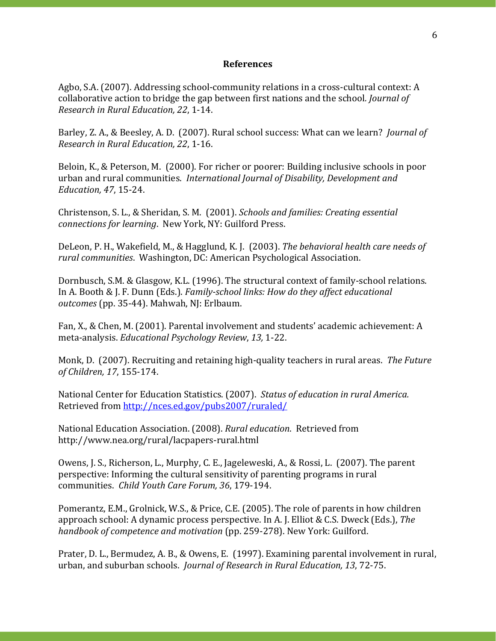## **References**

Agbo, S.A. (2007). Addressing school-community relations in a cross-cultural context: A collaborative action to bridge the gap between first nations and the school*. Journal of Research in Rural Education, 22*, 1-14.

Barley, Z. A., & Beesley, A. D. (2007). Rural school success: What can we learn? *Journal of Research in Rural Education, 22*, 1-16.

Beloin, K., & Peterson, M. (2000). For richer or poorer: Building inclusive schools in poor urban and rural communities. *International Journal of Disability, Development and Education, 47*, 15-24.

Christenson, S. L., & Sheridan, S. M. (2001). *Schools and families: Creating essential connections for learning*. New York, NY: Guilford Press.

DeLeon, P. H., Wakefield, M., & Hagglund, K. J. (2003). *The behavioral health care needs of rural communities*. Washington, DC: American Psychological Association.

Dornbusch, S.M. & Glasgow, K.L. (1996). The structural context of family-school relations. In A. Booth & J. F. Dunn (Eds.). *Family-school links: How do they affect educational outcomes* (pp. 35-44). Mahwah, NJ: Erlbaum.

Fan, X., & Chen, M. (2001). Parental involvement and students' academic achievement: A meta-analysis. *Educational Psychology Review*, *13,* 1-22.

Monk, D. (2007). Recruiting and retaining high-quality teachers in rural areas. *The Future of Children, 17*, 155-174.

National Center for Education Statistics. (2007). *Status of education in rural America.*  Retrieved from<http://nces.ed.gov/pubs2007/ruraled/>

National Education Association. (2008). *Rural education*. Retrieved from http://www.nea.org/rural/lacpapers-rural.html

Owens, J. S., Richerson, L., Murphy, C. E., Jageleweski, A., & Rossi, L. (2007). The parent perspective: Informing the cultural sensitivity of parenting programs in rural communities. *Child Youth Care Forum, 36*, 179-194.

Pomerantz, E.M., Grolnick, W.S., & Price, C.E. (2005). The role of parents in how children approach school: A dynamic process perspective. In A. J. Elliot & C.S. Dweck (Eds.), *The handbook of competence and motivation* (pp. 259-278). New York: Guilford.

Prater, D. L., Bermudez, A. B., & Owens, E. (1997). Examining parental involvement in rural, urban, and suburban schools. *Journal of Research in Rural Education, 13*, 72-75.